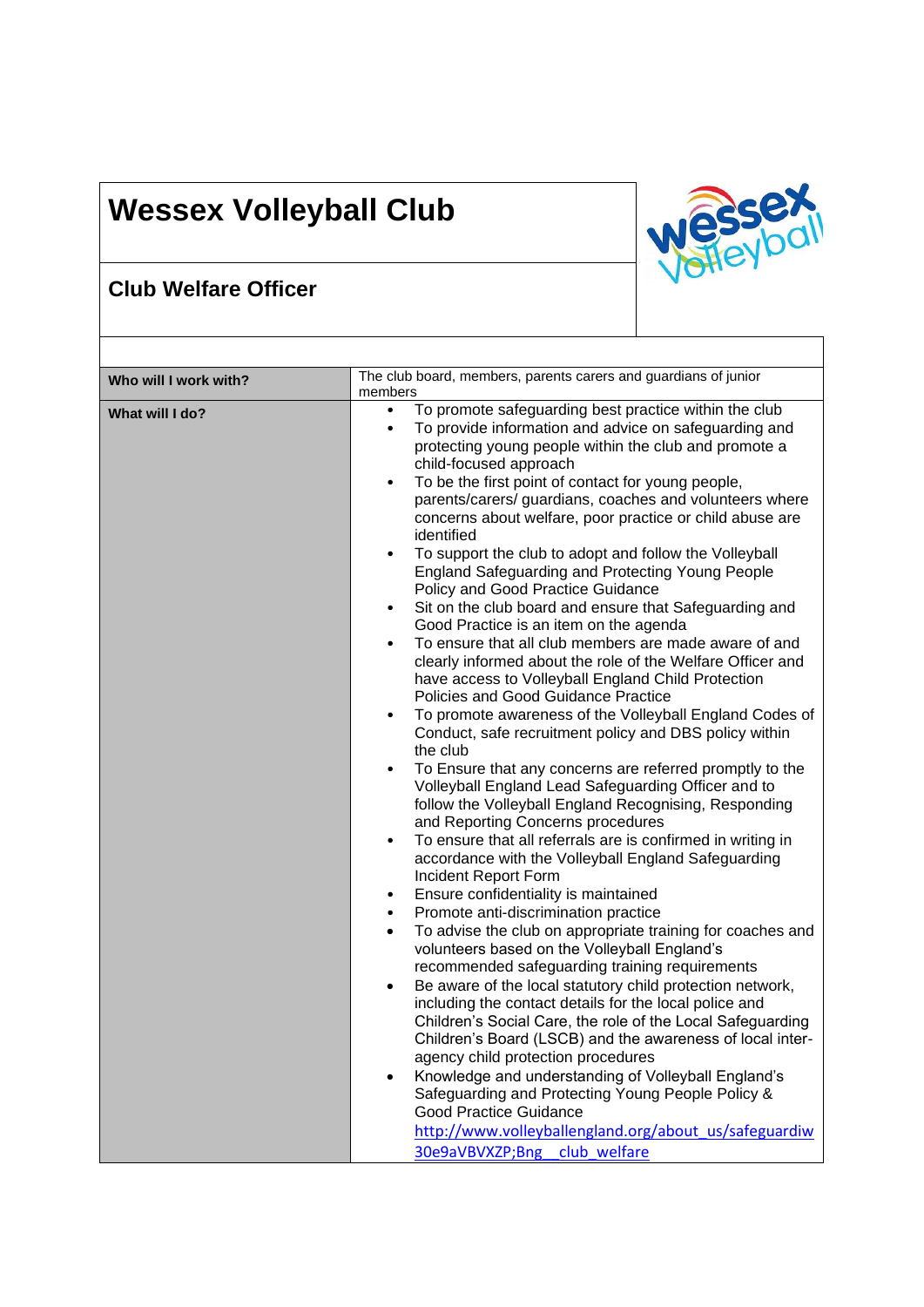## **Wessex Volleyball Club**



٦

## **Club Welfare Officer**

| Who will I work with? | The club board, members, parents carers and guardians of junior<br>members                                                                                                                                                                                                                                                                                                                                                                                                                                                                                                                                                                                                                                                                                                                                                                                                                                                                                                                                                                                                                                                                                                                                                                                                                                                                                                                                                                                                                                                                                                                                                                                                                                                                                                                                                                                                                                                                                                                                                                                                                                                                                                                                                                                                                                                           |
|-----------------------|--------------------------------------------------------------------------------------------------------------------------------------------------------------------------------------------------------------------------------------------------------------------------------------------------------------------------------------------------------------------------------------------------------------------------------------------------------------------------------------------------------------------------------------------------------------------------------------------------------------------------------------------------------------------------------------------------------------------------------------------------------------------------------------------------------------------------------------------------------------------------------------------------------------------------------------------------------------------------------------------------------------------------------------------------------------------------------------------------------------------------------------------------------------------------------------------------------------------------------------------------------------------------------------------------------------------------------------------------------------------------------------------------------------------------------------------------------------------------------------------------------------------------------------------------------------------------------------------------------------------------------------------------------------------------------------------------------------------------------------------------------------------------------------------------------------------------------------------------------------------------------------------------------------------------------------------------------------------------------------------------------------------------------------------------------------------------------------------------------------------------------------------------------------------------------------------------------------------------------------------------------------------------------------------------------------------------------------|
| What will I do?       | To promote safeguarding best practice within the club<br>$\bullet$<br>To provide information and advice on safeguarding and<br>$\bullet$<br>protecting young people within the club and promote a<br>child-focused approach<br>To be the first point of contact for young people,<br>$\bullet$<br>parents/carers/ guardians, coaches and volunteers where<br>concerns about welfare, poor practice or child abuse are<br>identified<br>To support the club to adopt and follow the Volleyball<br>$\bullet$<br><b>England Safeguarding and Protecting Young People</b><br><b>Policy and Good Practice Guidance</b><br>Sit on the club board and ensure that Safeguarding and<br>$\bullet$<br>Good Practice is an item on the agenda<br>To ensure that all club members are made aware of and<br>$\bullet$<br>clearly informed about the role of the Welfare Officer and<br>have access to Volleyball England Child Protection<br>Policies and Good Guidance Practice<br>To promote awareness of the Volleyball England Codes of<br>$\bullet$<br>Conduct, safe recruitment policy and DBS policy within<br>the club<br>To Ensure that any concerns are referred promptly to the<br>$\bullet$<br>Volleyball England Lead Safeguarding Officer and to<br>follow the Volleyball England Recognising, Responding<br>and Reporting Concerns procedures<br>To ensure that all referrals are is confirmed in writing in<br>$\bullet$<br>accordance with the Volleyball England Safeguarding<br>Incident Report Form<br>Ensure confidentiality is maintained<br>٠<br>Promote anti-discrimination practice<br>$\bullet$<br>To advise the club on appropriate training for coaches and<br>$\bullet$<br>volunteers based on the Volleyball England's<br>recommended safeguarding training requirements<br>Be aware of the local statutory child protection network,<br>$\bullet$<br>including the contact details for the local police and<br>Children's Social Care, the role of the Local Safeguarding<br>Children's Board (LSCB) and the awareness of local inter-<br>agency child protection procedures<br>Knowledge and understanding of Volleyball England's<br>Safeguarding and Protecting Young People Policy &<br><b>Good Practice Guidance</b><br>http://www.volleyballengland.org/about_us/safeguardiw<br>30e9aVBVXZP;Bng club welfare |